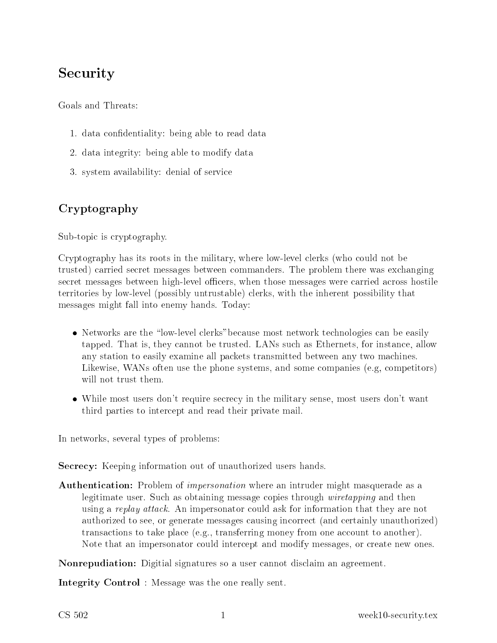# Security

Goals and Threats:

- 1. data confidentiality: being able to read data
- 2. data integrity: being able to modify data
- 3. system availability: denial of servi
e

## Cryptography

Sub-topic is cryptography.

Cryptography has its roots in the military, where low-level lerks (who ould not be trusted) arried se
ret messages between ommanders. The problem there was ex
hanging secret messages between high-level officers, when those messages were carried across hostile territories by low-level (possibly untrustable) lerks, with the inherent possibility that messages might fall into enemy hands. Today:

- Networks are the "low-level clerks" because most network technologies can be easily tapped. That is, they annot be trusted. LANs su
h as Ethernets, for instan
e, allow any station to easily examine all pa
kets transmitted between any two ma
hines. Likewise, WANs often use the phone systems, and some companies (e.g, competitors) will not trust them.
- While most users don't require secrecy in the military sense, most users don't want third parties to inter
ept and read their private mail.

In networks, several types of problems:

Secrecy: Keeping information out of unauthorized users hands.

**Authentication:** Problem of *impersonation* where an intruder might masquerade as a legitimate user. Such as obtaining message copies through *wiretapping* and then using a replay attack. An impersonator could ask for information that they are not authorized to see, or generate messages ausing in
orre
t (and ertainly unauthorized) transactions to take place (e.g., transferring money from one account to another). Note that an impersonator could intercept and modify messages, or create new ones.

Nonrepudiation: Digitial signatures so a user cannot disclaim an agreement.

Integrity Control : Message was the one really sent.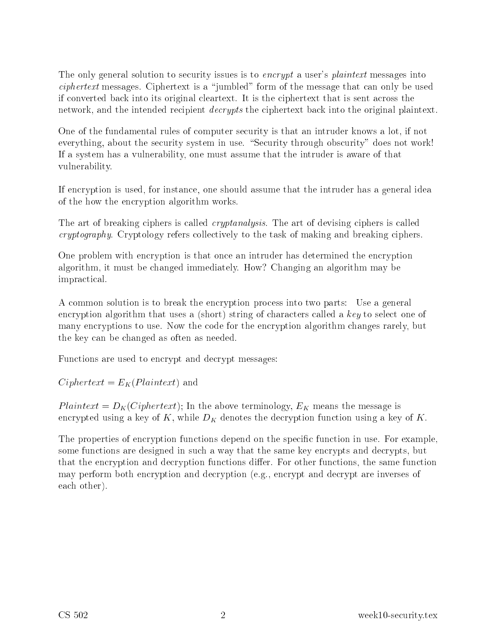The only general solution to security issues is to *encrypt* a user's *plaintext* messages into  $ciphertext$  messages. Ciphertext is a "jumbled" form of the message that can only be used if onverted ba
k into its original leartext. It is the iphertext that is sent a
ross the network, and the intended recipient *decrypts* the ciphertext back into the original plaintext.

One of the fundamental rules of omputer se
urity is that an intruder knows <sup>a</sup> lot, if not everything, about the security system in use. "Security through obscurity" does not work! If a system has a vulnerability, one must assume that the intruder is aware of that vulnerability.

If en
ryption is used, for instan
e, one should assume that the intruder has a general idea of the how the en
ryption algorithm works.

The art of breaking ciphers is called *cryptanalysis*. The art of devising ciphers is called cryptography. Cryptology refers collectively to the task of making and breaking ciphers.

One problem with en
ryption is that on
e an intruder has determined the en
ryption algorithm, it must be hanged immediately. How? Changing an algorithm may be impractical.

<sup>A</sup> ommon solution is to break the en
ryption pro
ess into two parts: Use a general encryption algorithm that uses a (short) string of characters called a key to select one of many encryptions to use. Now the code for the encryption algorithm changes rarely, but the key an be hanged as often as needed.

Fun
tions are used to en
rypt and de
rypt messages:

 $Ciphertext = E<sub>K</sub>(Plaintext)$  and

Plaintext =  $D_K(Ciphertext)$ ; In the above terminology,  $E_K$  means the message is encrypted using a key of K, while  $D_K$  denotes the decryption function using a key of K.

The properties of encryption functions depend on the specific function in use. For example, some functions are designed in such a way that the same key encrypts and decrypts, but that the encryption and decryption functions differ. For other functions, the same function may perform both en
ryption and de
ryption (e.g., en
rypt and de
rypt are inverses of each other).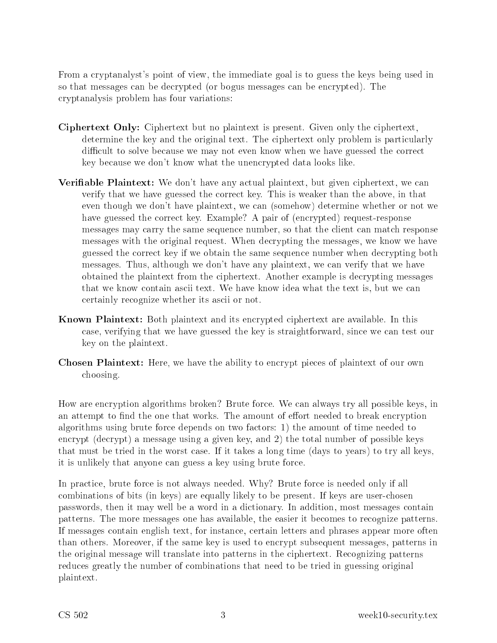From a cryptanalyst's point of view, the immediate goal is to guess the keys being used in so that messages an be de
rypted (or bogus messages an be en
rypted). The ryptanalysis problem has four variations:

- Ciphertext Only: Ciphertext but no plaintext is present. Given only the iphertext, determine the key and the original text. The ciphertext only problem is particularly difficult to solve because we may not even know when we have guessed the correct key because we don't know what the unencrypted data looks like.
- **Verifiable Plaintext:** We don't have any actual plaintext, but given ciphertext, we can verify that we have guessed the orre
t key. This is weaker than the above, in that even though we don't have plaintext, we an (somehow) determine whether or not we have guessed the correct key. Example? A pair of (encrypted) request-response messages may arry the same sequen
e number, so that the lient an mat
h response messages with the original request. When decrypting the messages, we know we have guessed the orre
t key if we obtain the same sequen
e number when de
rypting both messages. Thus, although we don't have any plaintext, we can verify that we have obtained the plaintext from the ciphertext. Another example is decrypting messages that we know contain ascii text. We have know idea what the text is, but we can ertainly re
ognize whether its as
ii or not.
- **Known Plaintext:** Both plaintext and its encrypted ciphertext are available. In this ase, verifying that we have guessed the key is straightforward, sin
e we an test our key on the plaintext.
- **Chosen Plaintext:** Here, we have the ability to encrypt pieces of plaintext of our own hoosing.

How are en
ryption algorithms broken? Brute for
e. We an always try all possible keys, in an attempt to find the one that works. The amount of effort needed to break encryption algorithms using brute force depends on two factors: 1) the amount of time needed to encrypt (decrypt) a message using a given key, and 2) the total number of possible keys that must be tried in the worst case. If it takes a long time (days to years) to try all keys, it is unlikely that anyone can guess a key using brute force.

In practice, brute force is not always needed. Why? Brute force is needed only if all combinations of bits (in keys) are equally likely to be present. If keys are user-chosen passwords, then it may well be a word in a di
tionary. In addition, most messages ontain patterns. The more messages one has available, the easier it be
omes to re
ognize patterns. If messages ontain english text, for instan
e, ertain letters and phrases appear more often than others. Moreover, if the same key is used to en
rypt subsequent messages, patterns in the original message will translate into patterns in the iphertext. Re
ognizing patterns reduces greatly the number of combinations that need to be tried in guessing original plaintext.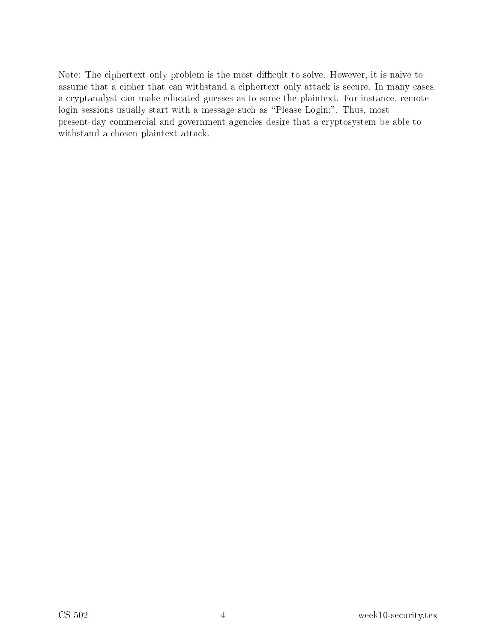Note: The ciphertext only problem is the most difficult to solve. However, it is naive to assume that a cipher that can withstand a ciphertext only attack is secure. In many cases, a cryptanalyst can make educated guesses as to some the plaintext. For instance, remote login sessions usually start with a message such as "Please Login:". Thus, most present-day commercial and government agencies desire that a cryptosystem be able to withstand a chosen plaintext attack.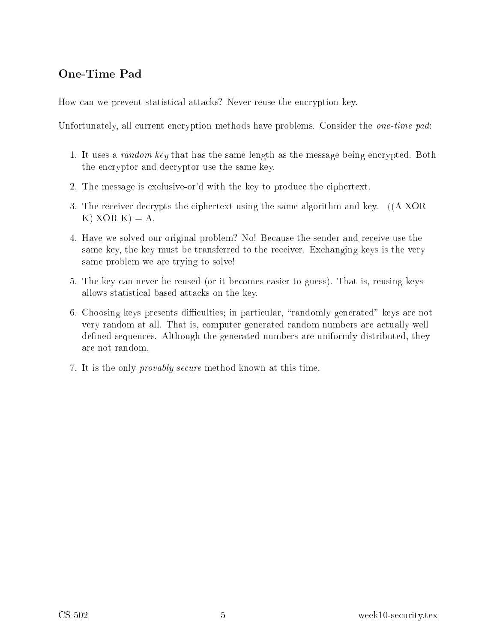#### One-Time Pad

How can we prevent statistical attacks? Never reuse the encryption key.

Unfortunately, all current encryption methods have problems. Consider the *one-time pad*:

- 1. It uses a *random key* that has the same length as the message being encrypted. Both the en
ryptor and de
ryptor use the same key.
- 2. The message is ex
lusive-or'd with the key to produ
e the iphertext.
- 3. The receiver decrypts the ciphertext using the same algorithm and key. ((A XOR K)  $XOR K$  = A.
- 4. Have we solved our original problem? No! Be
ause the sender and re
eive use the same key, the key must be transferred to the receiver. Exchanging keys is the very same problem we are trying to solve!
- 5. The key an never be reused (or it be
omes easier to guess). That is, reusing keys allows statisti
al based atta
ks on the key.
- 6. Choosing keys presents difficulties; in particular, "randomly generated" keys are not very random at all. That is, omputer generated random numbers are a
tually well defined sequences. Although the generated numbers are uniformly distributed, they are not random.
- 7. It is the only provably se
ure method known at this time.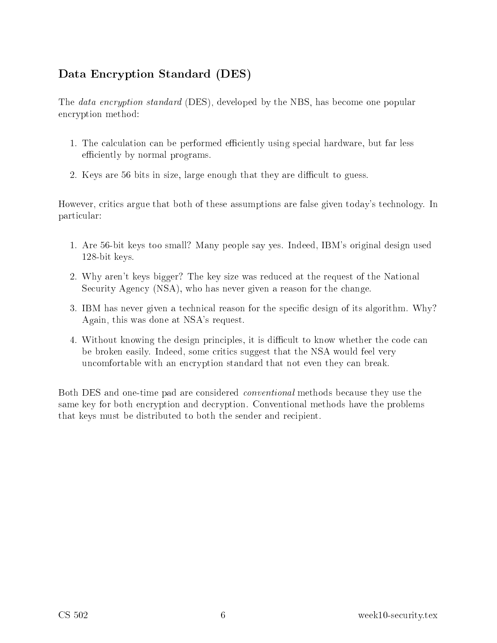### Data Encryption Standard (DES)

The *data encryption standard* (DES), developed by the NBS, has become one popular en
ryption method:

- 1. The calculation can be performed efficiently using special hardware, but far less efficiently by normal programs.
- 2. Keys are 56 bits in size, large enough that they are difficult to guess.

However, critics argue that both of these assumptions are false given today's technology. In parti
ular:

- 1. Are 56-bit keys too small? Many people say yes. Indeed, IBM's original design used 128-bit keys.
- 2. Why aren't keys bigger? The key size was redu
ed at the request of the National Security Agency (NSA), who has never given a reason for the change.
- 3. IBM has never given a technical reason for the specific design of its algorithm. Why? Again, this was done at NSA's request.
- 4. Without knowing the design principles, it is difficult to know whether the code can be broken easily. Indeed, some critics suggest that the NSA would feel very uncomfortable with an encryption standard that not even they can break.

Both DES and one-time pad are considered *conventional* methods because they use the same key for both encryption and decryption. Conventional methods have the problems that keys must be distributed to both the sender and recipient.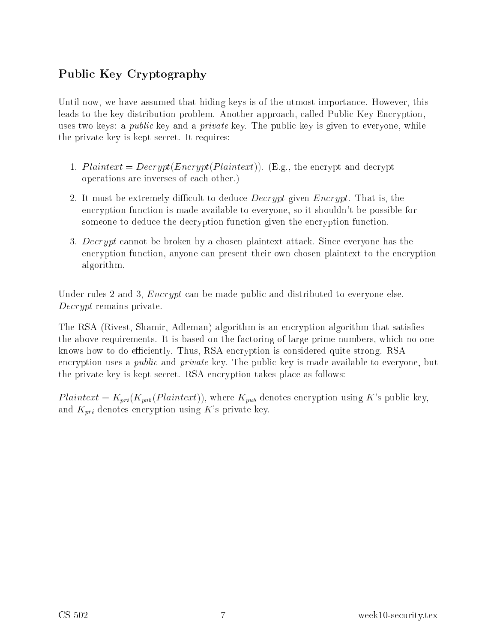### Publi Key Cryptography

Until now, we have assumed that hiding keys is of the utmost importance. However, this leads to the key distribution problem. Another approach, called Public Key Encryption, uses two keys: a *public* key and a *private* key. The public key is given to everyone, while the private key is kept se
ret. It requires:

- 1. Plaintext =  $Decrypt(Encrypt(Plaintext))$ . (E.g., the encrypt and decrypt operations are inverses of ea
h other.)
- 2. It must be extremely difficult to deduce *Decrypt* given  $\text{Energy}$ . That is, the en
ryption fun
tion is made available to everyone, so it shouldn't be possible for someone to deduce the decryption function given the encryption function.
- 3. Decrypt cannot be broken by a chosen plaintext attack. Since everyone has the encryption function, anyone can present their own chosen plaintext to the encryption algorithm.

Under rules 2 and 3, *Encrypt* can be made public and distributed to everyone else. Decrypt remains private.

The RSA (Rivest, Shamir, Adleman) algorithm is an encryption algorithm that satisfies the above requirements. It is based on the factoring of large prime numbers, which no one knows how to do efficiently. Thus, RSA encryption is considered quite strong. RSA encryption uses a *public* and *private* key. The public key is made available to everyone, but the private key is kept secret. RSA encryption takes place as follows:

 $Plaintext = K_{pri}(K_{pub}(Plaintext))$ , where  $K_{pub}$  denotes encryption using K's public key, and  $K_{pri}$  denotes encryption using K's private key.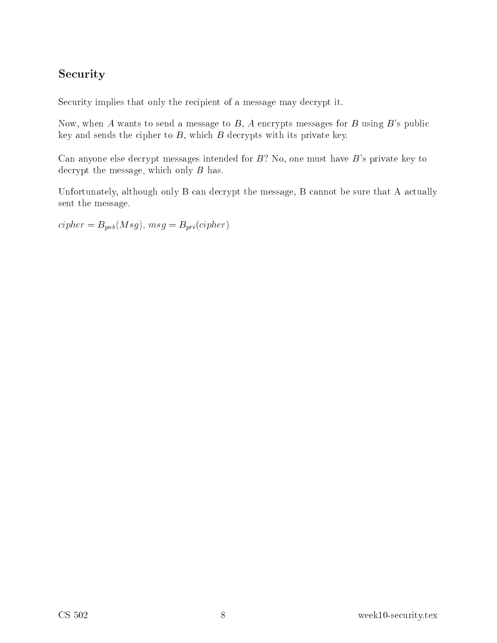### **Security**

Security implies that only the recipient of a message may decrypt it.

Now, when A wants to send a message to  $B$ , A encrypts messages for B using B's public key and sends the cipher to  $B$ , which  $B$  decrypts with its private key.

Can anyone else decrypt messages intended for  $B$ ? No, one must have  $B$ 's private key to decrypt the message, which only  $B$  has.

Unfortunately, although only B can decrypt the message, B cannot be sure that A actually sent the message.

 $cipher = B<sub>pub</sub>(Msg), msg = B<sub>pri</sub>(cipher)$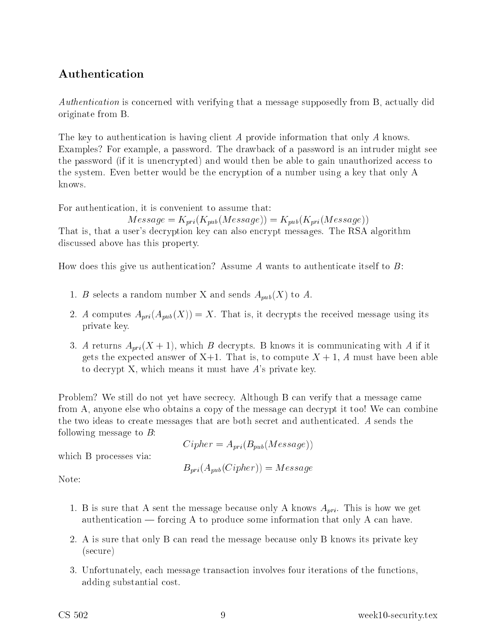### Authenti
ation

Authentication is concerned with verifying that a message supposedly from B, actually did originate from B.

The key to authentication is having client A provide information that only A knows. Examples? For example, a password. The drawba
k of a password is an intruder might see the password (if it is unencrypted) and would then be able to gain unauthorized access to the system. Even better would be the en
ryption of a number using a key that only A knows.

For authentication, it is convenient to assume that:

$$
Message = K_{pri}(K_{pub}(Message)) = K_{pub}(K_{pri}(Message))
$$

That is, that a user's decryption key can also encrypt messages. The RSA algorithm dis
ussed above has this property.

How does this give us authentication? Assume A wants to authenticate itself to  $B$ :

- 1. B selects a random number X and sends  $A_{pub}(X)$  to A.
- 2. A computes  $A_{pri}(A_{pub}(X)) = X$ . That is, it decrypts the received message using its private key.
- 3. A returns  $A_{pri}(X + 1)$ , which B decrypts. B knows it is communicating with A if it gets the expected answer of  $X+1$ . That is, to compute  $X+1$ , A must have been able to de
rypt X, whi
h means it must have A's private key.

Problem? We still do not yet have secrecy. Although B can verify that a message came from A, anyone else who obtains a copy of the message can decrypt it too! We can combine the two ideas to create messages that are both secret and authenticated. A sends the following message to  $B$ :

$$
Cipher = A_{pri}(B_{pub}(Message))
$$

$$
B_{pri}(A_{pub}(Cipher)) = Message
$$

which B processes via:

Note:

- 1. B is sure that A sent the message because only A knows  $A_{pri}$ . This is how we get authentication — forcing A to produce some information that only A can have.
- 2. A is sure that only B an read the message be
ause only B knows its private key (se
ure)
- 3. Unfortunately, ea
h message transa
tion involves four iterations of the fun
tions, adding substantial ost.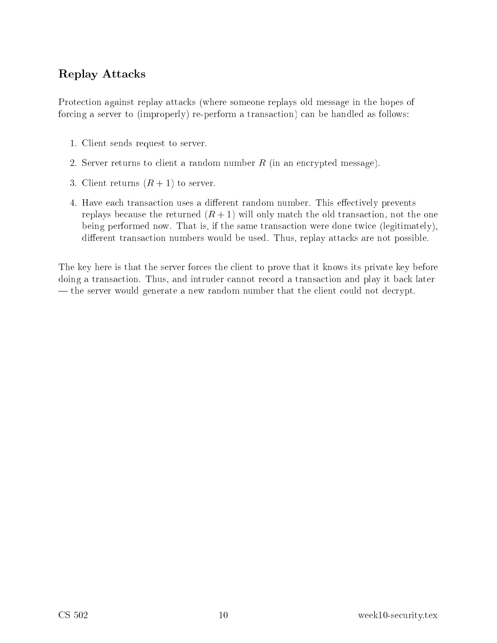### Replay Atta
ks

Protection against replay attacks (where someone replays old message in the hopes of forcing a server to (improperly) re-perform a transaction) can be handled as follows:

- 1. Client sends request to server.
- 2. Server returns to client a random number  $R$  (in an encrypted message).
- 3. Client returns  $(R + 1)$  to server.
- 4. Have each transaction uses a different random number. This effectively prevents replays because the returned  $(R+1)$  will only match the old transaction, not the one being performed now. That is, if the same transaction were done twice (legitimately), different transaction numbers would be used. Thus, replay attacks are not possible.

The key here is that the server forces the client to prove that it knows its private key before doing a transaction. Thus, and intruder cannot record a transaction and play it back later — the server would generate a new random number that the client could not decrypt.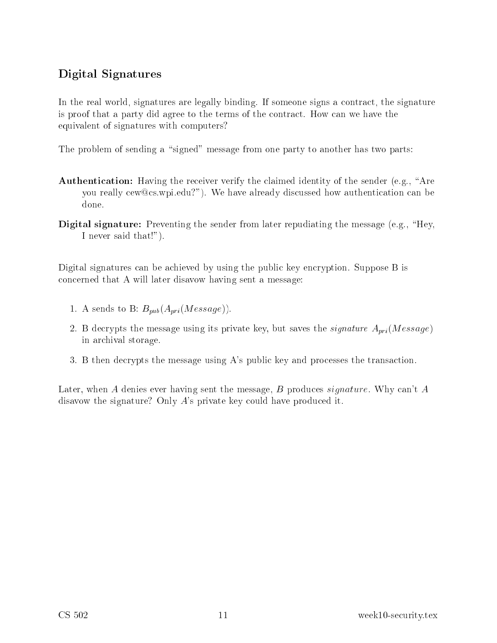### Digital Signatures

In the real world, signatures are legally binding. If someone signs a contract, the signature is proof that a party did agree to the terms of the ontra
t. How an we have the equivalent of signatures with omputers?

The problem of sending a "signed" message from one party to another has two parts:

- Authentication: Having the receiver verify the claimed identity of the sender (e.g., "Are you really cew@cs.wpi.edu?"). We have already discussed how authentication can be done.
- **Digital signature:** Preventing the sender from later repudiating the message (e.g., "Hey, I never said that!").

Digital signatures can be achieved by using the public key encryption. Suppose B is on
erned that A will later disavow having sent a message:

- 1. A sends to B:  $B_{pub}(A_{pri}(Message)).$
- 2. B decrypts the message using its private key, but saves the *signature*  $A_{pri}(Message)$ in ar
hival storage.
- 3. B then decrypts the message using A's public key and processes the transaction.

Later, when A denies ever having sent the message, B produces *signature*. Why can't A disavow the signature? Only A's private key could have produced it.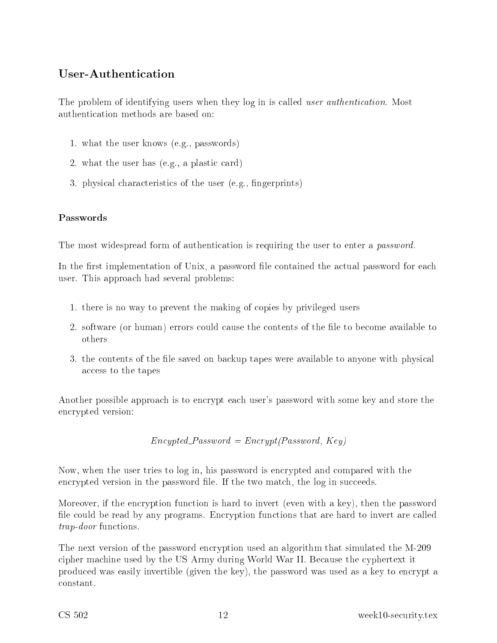### User-Authentication

The problem of identifying users when they log in is called *user authentication*. Most authenti
ation methods are based on:

- 1. what the user knows (e.g., passwords)
- 2. what the user has  $(e.g., a plastic card)$
- 3. physi
al hara
teristi
s of the user (e.g., ngerprints)

#### Passwords

The most widespread form of authentication is requiring the user to enter a *password*.

In the first implementation of Unix, a password file contained the actual password for each user. This approa
h had several problems:

- 1. there is no way to prevent the making of opies by privileged users
- 2. software (or human) errors could cause the contents of the file to become available to others
- 3. the contents of the file saved on backup tapes were available to anyone with physical access to the tapes

Another possible approach is to encrypt each user's password with some key and store the en
rypted version:

 $Encypted$ -Password =  $Encrypt(Password, Key)$ 

Now, when the user tries to log in, his password is encrypted and compared with the encrypted version in the password file. If the two match, the log in succeeds.

Moreover, if the encryption function is hard to invert (even with a key), then the password file could be read by any programs. Encryption functions that are hard to invert are called trap-door functions.

The next version of the password encryption used an algorithm that simulated the M-209 cipher machine used by the US Army during World War II. Because the cyphertext it produ
ed was easily invertible (given the key), the password was used as a key to en
rypt a onstant.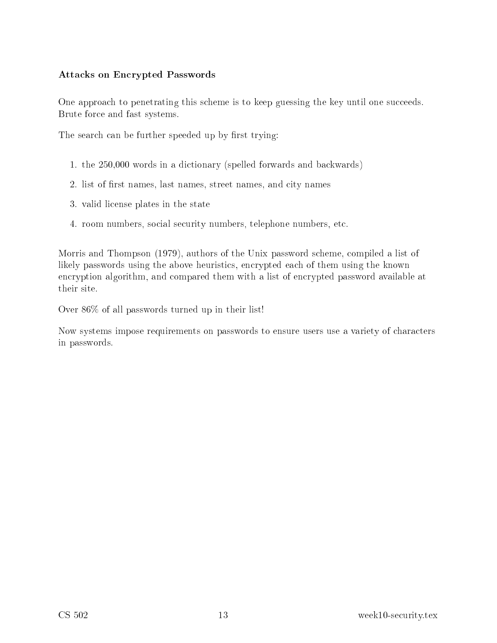#### Atta
ks on En
rypted Passwords

One approach to penetrating this scheme is to keep guessing the key until one succeeds. Brute for
e and fast systems.

The search can be further speeded up by first trying:

- 1. the 250,000 words in a di
tionary (spelled forwards and ba
kwards)
- 2. list of first names, last names, street names, and city names
- 3. valid li
ense plates in the state
- 4. room numbers, so
ial se
urity numbers, telephone numbers, et
.

Morris and Thompson (1979), authors of the Unix password s
heme, ompiled a list of likely passwords using the above heuristics, encrypted each of them using the known encryption algorithm, and compared them with a list of encrypted password available at

Over 86% of all passwords turned up in their list!

Now systems impose requirements on passwords to ensure users use a variety of characters in passwords.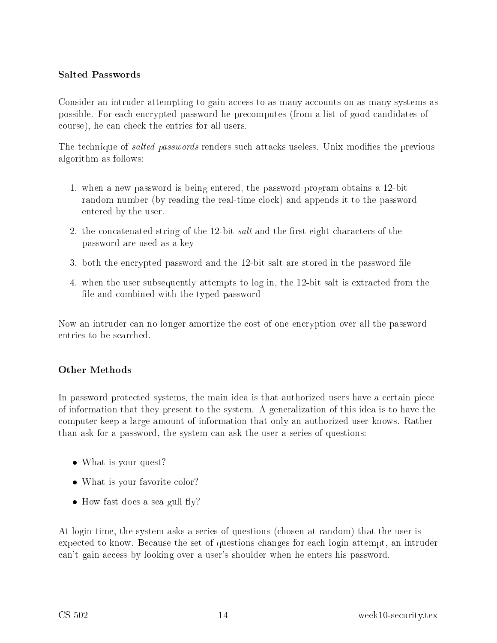#### Salted Passwords

Consider an intruder attempting to gain access to as many accounts on as many systems as possible. For ea
h en
rypted password he pre
omputes (from a list of good andidates of ourse), he an he
k the entries for all users.

The technique of *salted passwords* renders such attacks useless. Unix modifies the previous algorithm as follows:

- 1. when a new password is being entered, the password program obtains a 12-bit random number (by reading the real-time lo
k) and appends it to the password entered by the user.
- 2. the concatenated string of the 12-bit *salt* and the first eight characters of the password are used as a key
- 3. both the encrypted password and the 12-bit salt are stored in the password file
- 4. when the user subsequently attempts to log in, the 12-bit salt is extra
ted from the file and combined with the typed password

Now an intruder can no longer amortize the cost of one encryption over all the password entries to be sear
hed.

#### Other Methods

In password protected systems, the main idea is that authorized users have a certain piece of information that they present to the system. A generalization of this idea is to have the omputer keep a large amount of information that only an authorized user knows. Rather than ask for a password, the system an ask the user a series of questions:

- What is your quest?
- What is your favorite color?
- How fast does a sea gull fly?

At login time, the system asks a series of questions (
hosen at random) that the user is expected to know. Because the set of questions changes for each login attempt, an intruder can't gain access by looking over a user's shoulder when he enters his password.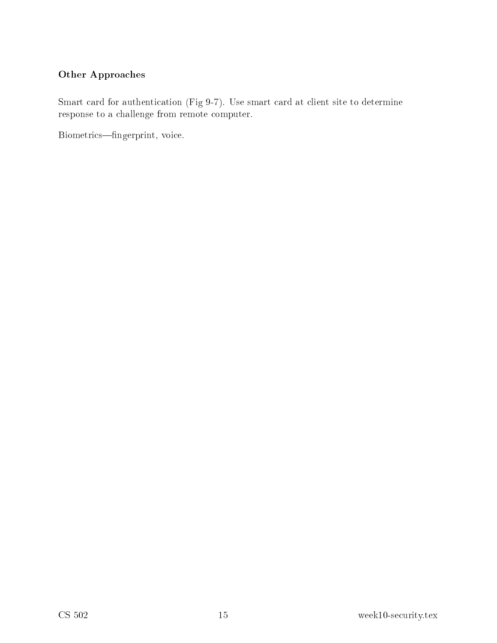#### Other Approa
hes

Smart card for authentication (Fig 9-7). Use smart card at client site to determine response to a hallenge from remote omputer.

Biometrics—fingerprint, voice.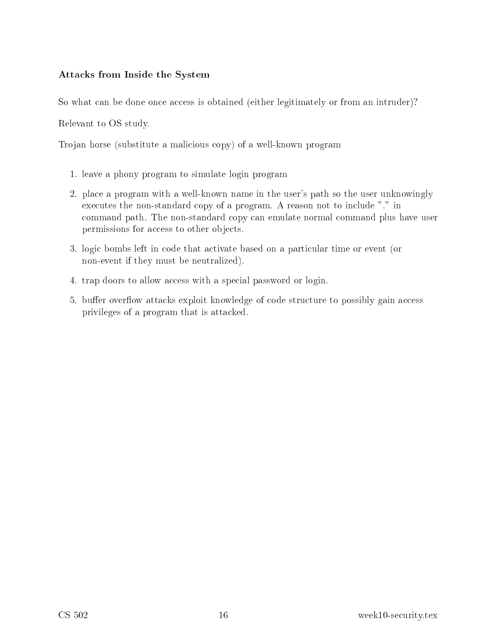#### Atta
ks from Inside the System

So what can be done once access is obtained (either legitimately or from an intruder)?

Relevant to OS study.

Trojan horse (substitute a mali
ious opy) of a well-known program

- 1. leave a phony program to simulate login program
- 2. pla
e a program with a well-known name in the user's path so the user unknowingly executes the non-standard copy of a program. A reason not to include "." in ommand path. The non-standard opy an emulate normal ommand plus have user permissions for access to other objects.
- 3. logi bombs left in ode that a
tivate based on a parti
ular time or event (or non-event if they must be neutralized).
- 4. trap doors to allow access with a special password or login.
- 5. buffer overflow attacks exploit knowledge of code structure to possibly gain access privileges of a program that is atta
ked.